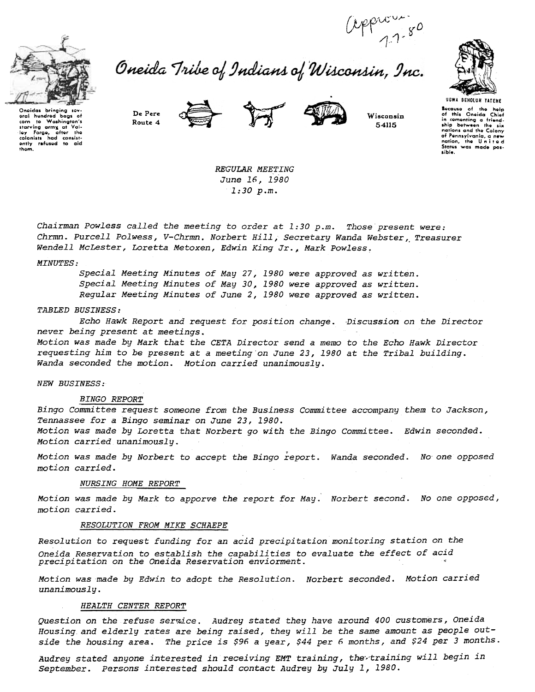

corn to Washington's<br>starving army at Valley Forgo, after the<br>ley Forgo, after the<br>colonists had consistently refused to aid<br>them.

baas of

Washington's

eral hundred

corn  $+$ 

# approvers (approvers)<br>Oneida Tribe of Indians of Wisconsin, Inc.







Wisconsin 54115



Bocause of the help<br>of this Oneida Chief or mis United United<br>in comenting a friend-<br>ship between the six<br>nations and the Colony nations and the account.<br>of Pennsylvania, a new<br>nation, the United<br>States was made pos-

sible.

De Pere Route 4





REGULAR MEETING June 16, 1980  $1:30 p.m.$ 

Chairman Powless called the meeting to order at 1:30 p.m. Those present were: Chrmn. Purcell Polwess, V-Chrmn. Norbert Hill, Secretary Wanda Webster, Treasurer Wendell McLester, Loretta Metoxen, Edwin King Jr., Mark Powless.

## MINUTES:

Special Meeting Minutes of May 27, 1980 were approved as written. Special Meeting Minutes of May 30, 1980 were approved as written. Regular Meeting Minutes of June 2, 1980 were approved as written.

#### TABLED BUSINESS:

Echo Hawk Report and request for position change. Discussion on the Director never being present at meetings. Motion was made by Mark that the CETA Director send a memo to the Echo Hawk Director

requesting him to be present at a meeting on June 23, 1980 at the Tribal building. Wanda seconded the motion. Motion carried unanimously.

**NEW BUSINESS:** 

### **BINGO REPORT**

Bingo Committee request someone from the Business Committee accompany them to Jackson, Tennassee for a Bingo seminar on June 23, 1980. Motion was made by Loretta that Norbert go with the Bingo Committee. Edwin seconded. Motion carried unanimously.

Motion was made by Norbert to accept the Bingo report. Wanda seconded. No one opposed motion carried.

## **NURSING HOME REPORT**

Motion was made by Mark to apporve the report for May. Norbert second. No one opposed, motion carried.

# RESOLUTION FROM MIKE SCHAEPE

Resolution to request funding for an acid precipitation monitoring station on the Oneida Reservation to establish the capabilities to evaluate the effect of acid precipitation on the Oneida Reservation enviorment.

Motion was made by Edwin to adopt the Resolution. Norbert seconded. Motion carried unanimously.

#### HEALTH CENTER REPORT

Question on the refuse serwice. Audrey stated they have around 400 customers, Oneida Housing and elderly rates are being raised, they will be the same amount as people outside the housing area. The price is \$96 a year, \$44 per 6 months, and \$24 per 3 months.

Audrey stated anyone interested in receiving EMT training, the training will begin in September. Persons interested should contact Audrey by July 1, 1980.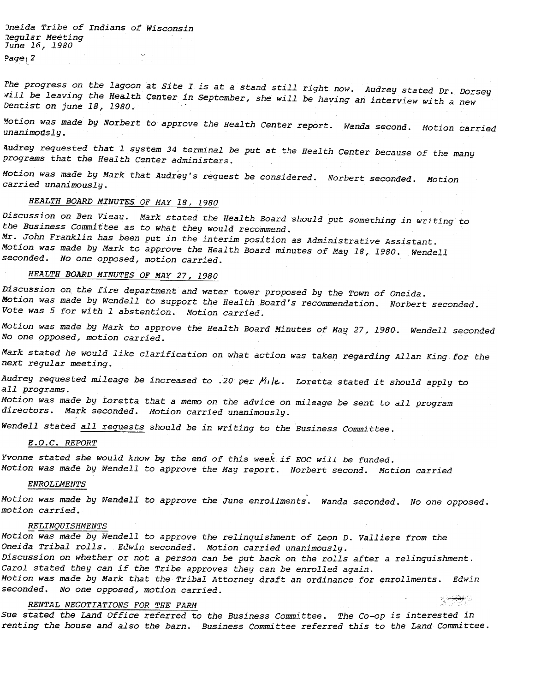Jneida Tribe of Indians of Wisconsin 1egular Meeting June 16, 1980  $\overline{\phantom{a}}$ 

rhe progress on the lagoon at Site I is at a stand still right now. Audrey stated Dr. Dorsey will be leaving the Health Center in September, she will be having an interview with a new Dentist on june 18, 1980.

~Motion was made by Norbert to approve the Health Center report. Wanda second. Motion carried unanimodsly.

Audrey requested that 1 system 34 terminal be put at the Health Center because of the many programs that the Health Center administers.

~otion was made by Mark that Audrey's request be considered. Norbert seconded. Motion carried unanimously.

# HEALTH BOARD MINUTES OF MAY 18, 1980

Discussion on Ben Vieau. Mark stated the Health Board should put something in writing to the Business Committee as to what they would recommend.

Mr. John Franklin has been put in the interim position as Administrative Assistant. Motion was made by Mark to approve the Health Board minutes of May 18, 1980. Wendell seconded. No one opposed, motion carried.

# HEALTH BOARD MINUTES OF MAY 27, 1980

Discussion on the fire department and water tower proposed by the Town of Oneida. Motion was made by Wendell to support the Health Board's recommendation. Norbert seconded. Vote was 5 for with 1 abstention. Motion carried.

Motion was made by Mark to approve the Health Board Minutes of May 27, 1980. Wendell seconde<br>No one opposed, motion carried.

Mark stated he would like clarification on what: action was taken regarding Allan King for the next: regular meeting.

Audrey requested mileage be increased to .20 per Mile. Loretta stated it should apply to all programs.

Motion was made by Loretta that a memo on the advice on mileage be sent to all program directors. Mark seconded. Motion carried unanimously.

Wendell stated all requests should be in writing to the Business Committee.

### E.O.C. REPORT

Yvonne stated she would know by the end of this week if EOC will be funded. Motion was made by Wendell to approve the May report. Norbert second. Motion carried

#### ENROLLMENTS

Motion was made by Wendell to approve the June enrollments. Wanda seconded, No one opposed motion carried.

#### RELINQUISHMENTS

Motion was made by Wendell to approve the relinquishment of Leon D. Valliere from the Oneida Tribal rolls. Edwin seconded. Motion carried unanimously. Discussion on whether or not a person can be put back on the rolls after a relinquishment. Carol stated they can if the Tribe approves they can be enrolled again. Motion was made by Mark that the Tribal Attorney draft an ordinance for enrollments. Edwin seconded. No one opposed, motion carried. s <del>việt</del> S

### RENTAL NEGOTIATIONS FOR THE FARM

Sue stated the Land Office referred to the Business Committee. The Co-op is interested in renting the house and also the barn. Business Committee referred this to the Land Committee.